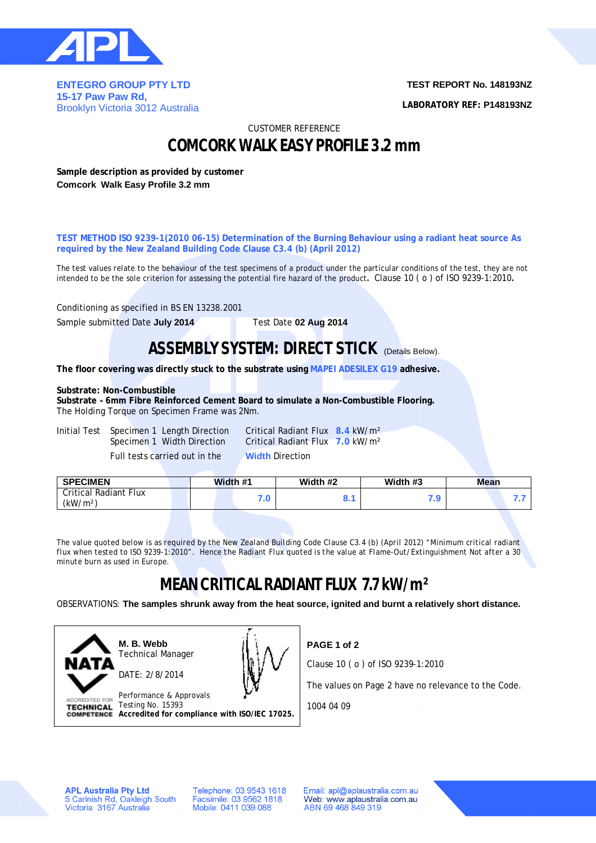

**ENTEGRO GROUP PTY LTD 15-17 Paw Paw Rd,**  Brooklyn Victoria 3012 Australia **TEST REPORT No. 148193NZ**

**LABORATORY REF: P148193NZ**

CUSTOMER REFERENCE

## **COMCORK WALK EASY PROFILE 3.2 mm**

**Sample description as provided by customer Comcork Walk Easy Profile 3.2 mm**

**TEST METHOD ISO 9239-1(2010 06-15) Determination of the Burning Behaviour using a radiant heat source As required by the New Zealand Building Code Clause C3.4 (b) (April 2012)**

The test values relate to the behaviour of the test specimens of a product under the particular conditions of the test, they are not intended to be the sole criterion for assessing the potential fire hazard of the product**.** Clause 10 ( o ) of ISO 9239-1:2010**.**

Conditioning as specified in BS EN 13238.2001

Sample submitted Date **July 2014** Test Date **02 Aug 2014**

### **ASSEMBLY SYSTEM: DIRECT STICK (Details Below).**

**The floor covering was directly stuck to the substrate using MAPEI ADESILEX G19 adhesive.**

#### **Substrate: Non-Combustible**

**Substrate – 6mm Fibre Reinforced Cement Board to simulate a Non-Combustible Flooring.** The Holding Torque on Specimen Frame was 2Nm.

Initial Test Specimen 1 Length Direction Critical Radiant Flux **8.4** kW/m² Full tests carried out in the **Width** Direction

Specimen 1 Width Direction Critical Radiant Flux **7.0** kW/m²

| <b>Critical Radiant Flux</b> |      |       |  |
|------------------------------|------|-------|--|
| (kW/m <sup>2</sup> )         | v. 1 | . . J |  |

*The value quoted below is as required by the New Zealand Building Code Clause C3.4 (b) (April 2012) "Minimum critical radiant flux when tested to ISO 9239-1:2010". Hence the Radiant Flux quoted is the value at Flame-Out/Extinguishment Not after a 30 minute burn as used in Europe.*

# **MEAN CRITICAL RADIANT FLUX 7.7 kW/m²**

OBSERVATIONS: **The samples shrunk away from the heat source, ignited and burnt a relatively short distance.**



**M. B. Webb** Technical Manager DATE: 2/8/2014



Performance & Approvals TECHNICAL Testing No. 15393 **Accredited for compliance with ISO/IEC 17025.** **PAGE 1 of 2**

Clause 10 ( o ) of ISO 9239-1:2010

The values on Page 2 have no relevance to the Code.

1004 04 09

**APL Australia Pty Ltd** 5 Carinish Rd, Oakleigh South<br>Victoria 3167 Australia Telephone: 03 9543 1618 Facsimile: 03 9562 1818 Mobile: 0411 039 088

Email: apl@aplaustralia.com.au Web: www.aplaustralia.com.au ABN 69 468 849 319